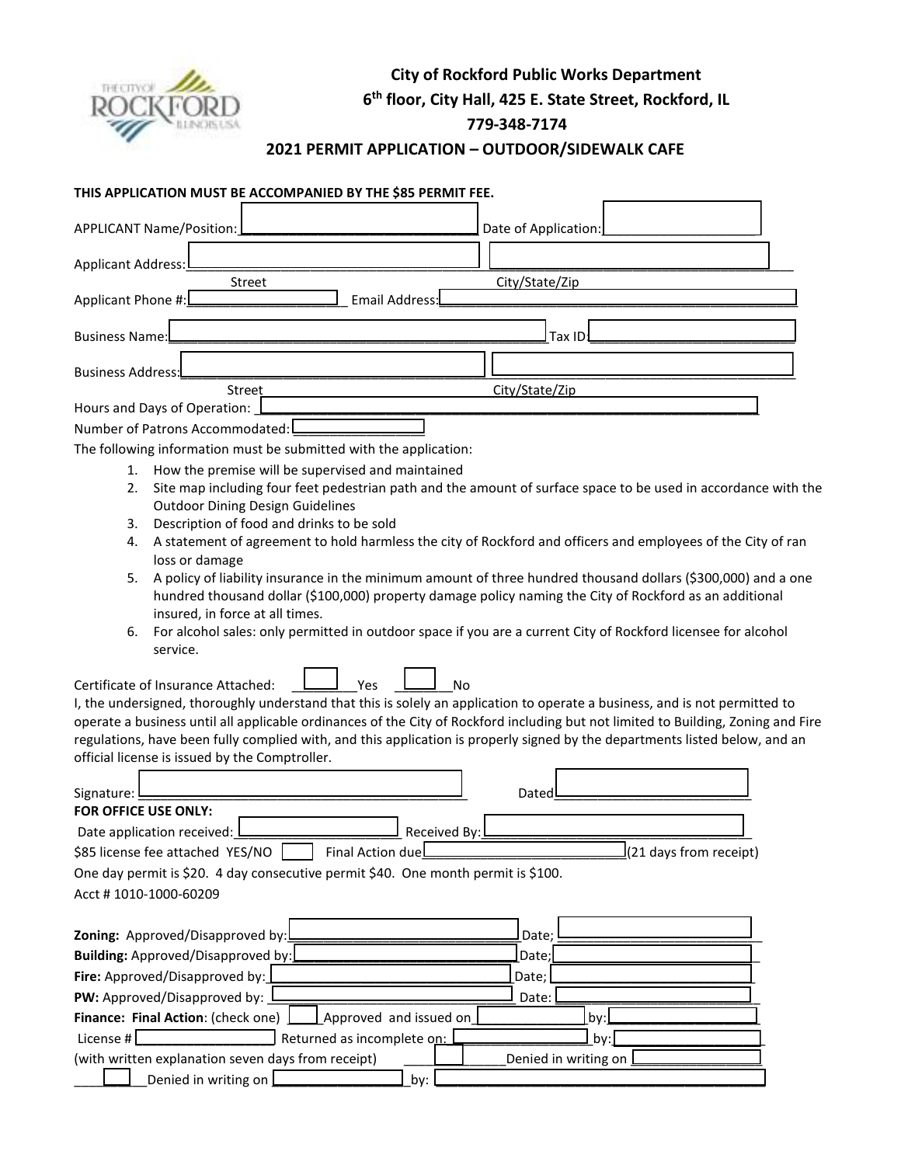

# **City of Rockford Public Works Department 6 th floor, City Hall, 425 E. State Street, Rockford, IL**

#### **779-348-7174**

### **2021 PERMIT APPLICATION – OUTDOOR/SIDEWALK CAFE**

### **THIS APPLICATION MUST BE ACCOMPANIED BY THE \$85 PERMIT FEE.**

| APPLICANT Name/Position:                                                                                                                                                                                                                                                                                                                                                                                                                                                                                                   | Date of Application:                                                                                                                                                                                                                                                                                                                            |
|----------------------------------------------------------------------------------------------------------------------------------------------------------------------------------------------------------------------------------------------------------------------------------------------------------------------------------------------------------------------------------------------------------------------------------------------------------------------------------------------------------------------------|-------------------------------------------------------------------------------------------------------------------------------------------------------------------------------------------------------------------------------------------------------------------------------------------------------------------------------------------------|
| Applicant Address:                                                                                                                                                                                                                                                                                                                                                                                                                                                                                                         |                                                                                                                                                                                                                                                                                                                                                 |
| <b>Street</b><br>Email Address:<br>Applicant Phone #:                                                                                                                                                                                                                                                                                                                                                                                                                                                                      | City/State/Zip                                                                                                                                                                                                                                                                                                                                  |
| <b>Business Name:</b>                                                                                                                                                                                                                                                                                                                                                                                                                                                                                                      | Tax ID                                                                                                                                                                                                                                                                                                                                          |
| <b>Business Address:</b>                                                                                                                                                                                                                                                                                                                                                                                                                                                                                                   |                                                                                                                                                                                                                                                                                                                                                 |
| Street                                                                                                                                                                                                                                                                                                                                                                                                                                                                                                                     | City/State/Zip                                                                                                                                                                                                                                                                                                                                  |
| Hours and Days of Operation:                                                                                                                                                                                                                                                                                                                                                                                                                                                                                               |                                                                                                                                                                                                                                                                                                                                                 |
| Number of Patrons Accommodated:                                                                                                                                                                                                                                                                                                                                                                                                                                                                                            |                                                                                                                                                                                                                                                                                                                                                 |
| The following information must be submitted with the application:                                                                                                                                                                                                                                                                                                                                                                                                                                                          |                                                                                                                                                                                                                                                                                                                                                 |
| 1. How the premise will be supervised and maintained<br>2.<br><b>Outdoor Dining Design Guidelines</b><br>Description of food and drinks to be sold<br>3.<br>4.<br>loss or damage<br>5.<br>hundred thousand dollar (\$100,000) property damage policy naming the City of Rockford as an additional<br>insured, in force at all times.<br>For alcohol sales: only permitted in outdoor space if you are a current City of Rockford licensee for alcohol<br>6.<br>service.<br>Certificate of Insurance Attached:<br>Yes<br>No | Site map including four feet pedestrian path and the amount of surface space to be used in accordance with the<br>A statement of agreement to hold harmless the city of Rockford and officers and employees of the City of ran<br>A policy of liability insurance in the minimum amount of three hundred thousand dollars (\$300,000) and a one |
| I, the undersigned, thoroughly understand that this is solely an application to operate a business, and is not permitted to                                                                                                                                                                                                                                                                                                                                                                                                |                                                                                                                                                                                                                                                                                                                                                 |
| operate a business until all applicable ordinances of the City of Rockford including but not limited to Building, Zoning and Fire<br>regulations, have been fully complied with, and this application is properly signed by the departments listed below, and an                                                                                                                                                                                                                                                           |                                                                                                                                                                                                                                                                                                                                                 |
| official license is issued by the Comptroller.                                                                                                                                                                                                                                                                                                                                                                                                                                                                             |                                                                                                                                                                                                                                                                                                                                                 |
| Signature:<br>FOR OFFICE USE ONLY:<br>Date application received:<br>Received By:                                                                                                                                                                                                                                                                                                                                                                                                                                           | Dated                                                                                                                                                                                                                                                                                                                                           |
| \$85 license fee attached YES/NO<br>Final Action duel                                                                                                                                                                                                                                                                                                                                                                                                                                                                      | (21 days from receipt)                                                                                                                                                                                                                                                                                                                          |
| One day permit is \$20. 4 day consecutive permit \$40. One month permit is \$100.                                                                                                                                                                                                                                                                                                                                                                                                                                          |                                                                                                                                                                                                                                                                                                                                                 |
| Acct #1010-1000-60209                                                                                                                                                                                                                                                                                                                                                                                                                                                                                                      |                                                                                                                                                                                                                                                                                                                                                 |
| Zoning: Approved/Disapproved by:<br>Building: Approved/Disapproved by:<br>Fire: Approved/Disapproved by:<br>PW: Approved/Disapproved by:<br>Finance: Final Action: (check one)<br>Approved and issued on                                                                                                                                                                                                                                                                                                                   | Date;<br>Date;<br>Date;<br>Date:<br>by:                                                                                                                                                                                                                                                                                                         |
| License # $[$<br>Returned as incomplete on:                                                                                                                                                                                                                                                                                                                                                                                                                                                                                | by:                                                                                                                                                                                                                                                                                                                                             |

(with written explanation seven days from receipt)  $\Box$  Denied in writing on  $\Box$ 

 $\Box$  Denied in writing on  $\Box$   $\Box$   $\Box$   $\Box$   $\Box$   $\Box$